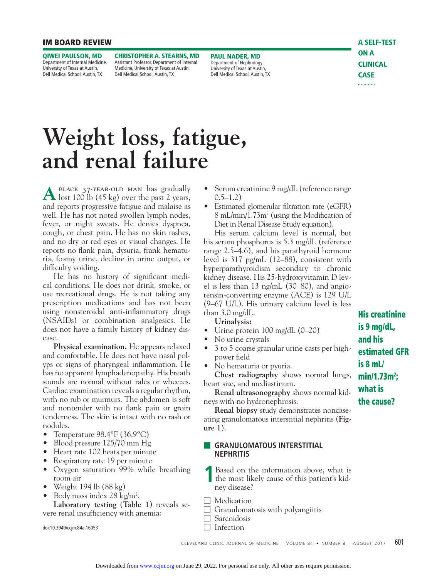#### **IM BOARD REVIEW**

**QIWEI PAULSON, MD**  Department of Internal Medicine. University of Texas at Austin, Dell Medical School, Austin, TX

**CHRISTOPHER A. STEARNS, MD** Assistant Professor, Department of Internal Medicine, University of Texas at Austin, Dell Medical School, Austin, TX

**PAUL NADER, MD** Department of Nephrology University of Texas at Austin, Dell Medical School, Austin, TX **A SELF-TEST ON A CLINICAL CASE**

# **Weight loss, fatigue, and renal failure**

A BLACK 37-YEAR-OLD MAN has gradually lost 100 lb (45 kg) over the past 2 years, and reports progressive fatigue and malaise as well. He has not noted swollen lymph nodes, fever, or night sweats. He denies dyspnea, cough, or chest pain. He has no skin rashes, and no dry or red eyes or visual changes. He reports no flank pain, dysuria, frank hematuria, foamy urine, decline in urine output, or difficulty voiding.

He has no history of significant medical conditions. He does not drink, smoke, or use recreational drugs. He is not taking any prescription medications and has not been using nonsteroidal anti-inflammatory drugs (NSAIDs) or combination analgesics. He does not have a family history of kidney disease.

**Physical examination.** He appears relaxed and comfortable. He does not have nasal polyps or signs of pharyngeal inflammation. He has no apparent lymphadenopathy. His breath sounds are normal without rales or wheezes. Cardiac examination reveals a regular rhythm, with no rub or murmurs. The abdomen is soft and nontender with no flank pain or groin tenderness. The skin is intact with no rash or nodules.

- Temperature 98.4ºF (36.9ºC)
- Blood pressure 125/70 mm Hg
- Heart rate 102 beats per minute
- Respiratory rate 19 per minute
- Oxygen saturation 99% while breathing room air
- Weight 194 lb  $(88 \text{ kg})$
- Body mass index  $28 \text{ kg/m}^2$ . **Laboratory testing** (**Table 1**) reveals se-

vere renal insufficiency with anemia:

doi:10.3949/ccjm.84a.16053

- Serum creatinine 9 mg/dL (reference range  $0.5-1.2)$
- Estimated glomerular filtration rate (eGFR) 8 mL/min/1.73m<sup>2</sup> (using the Modification of Diet in Renal Disease Study equation).

 His serum calcium level is normal, but his serum phosphorus is 5.3 mg/dL (reference range 2.5–4.6), and his parathyroid hormone level is 317 pg/mL (12–88), consistent with hyperparathyroidism secondary to chronic kidney disease. His 25-hydroxyvitamin D level is less than 13 ng/mL (30–80), and angiotensin-converting enzyme (ACE) is 129 U/L (9–67 U/L). His urinary calcium level is less than 3.0 mg/dL.

**Urinalysis:**

- Urine protein 100 mg/dL (0–20)
- No urine crystals
- 3 to 5 coarse granular urine casts per highpower field
- No hematuria or pyuria.

**Chest radiography** shows normal lungs, heart size, and mediastinum.

**Renal ultrasonography** shows normal kidneys with no hydronephrosis.

**Renal biopsy** study demonstrates noncaseating granulomatous interstitial nephritis (**Figure 1**).

## **■ GRANULOMATOUS INTERSTITIAL NEPHRITIS**

- **1**Based on the information above, what is the most likely cause of this patient's kidney disease?
- □ Medication
- $\Box$  Granulomatosis with polyangiitis
- □ Sarcoidosis  $\Box$  Infection

CLEVELAND CLINIC JOURNAL OF MEDICINE VOLUME 84 • NUMBER 8 AUGUST 2017 601

**is 9 mg/dL, and his estimated GFR is 8 mL/ min/1.73m2 ; what is the cause?**

**His creatinine**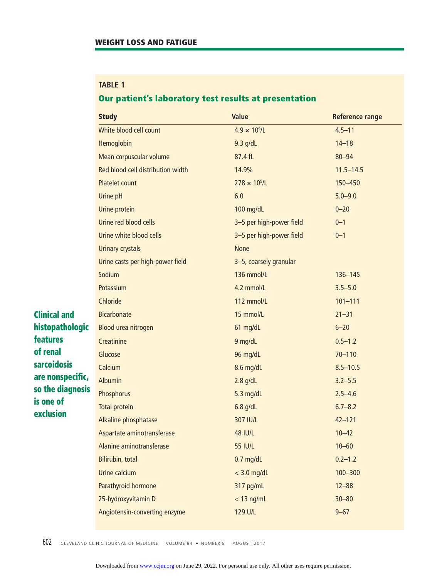# **TABLE 1**

# **Our patient's laboratory test results at presentation**

|                     | <b>Study</b>                      | <b>Value</b>             | <b>Reference range</b> |
|---------------------|-----------------------------------|--------------------------|------------------------|
|                     | White blood cell count            | $4.9 \times 10^{9}$ /L   | $4.5 - 11$             |
|                     | Hemoglobin                        | $9.3$ g/dL               | $14 - 18$              |
|                     | Mean corpuscular volume           | 87.4 fL                  | $80 - 94$              |
|                     | Red blood cell distribution width | 14.9%                    | $11.5 - 14.5$          |
|                     | <b>Platelet count</b>             | $278 \times 10^9$ /L     | 150-450                |
|                     | Urine pH                          | 6.0                      | $5.0 - 9.0$            |
|                     | Urine protein                     | 100 mg/dL                | $0 - 20$               |
|                     | Urine red blood cells             | 3-5 per high-power field | $0 - 1$                |
|                     | Urine white blood cells           | 3-5 per high-power field | $0 - 1$                |
|                     | <b>Urinary crystals</b>           | <b>None</b>              |                        |
|                     | Urine casts per high-power field  | 3-5, coarsely granular   |                        |
|                     | Sodium                            | 136 mmol/L               | 136-145                |
|                     | Potassium                         | 4.2 mmol/L               | $3.5 - 5.0$            |
|                     | Chloride                          | 112 mmol/L               | $101 - 111$            |
| <b>Clinical and</b> | <b>Bicarbonate</b>                | 15 mmol/L                | $21 - 31$              |
| histopathologic     | Blood urea nitrogen               | 61 mg/dL                 | $6 - 20$               |
| <b>features</b>     | Creatinine                        | 9 mg/dL                  | $0.5 - 1.2$            |
| of renal            | Glucose                           | 96 mg/dL                 | $70 - 110$             |
| <b>sarcoidosis</b>  | Calcium                           | 8.6 mg/dL                | $8.5 - 10.5$           |
| are nonspecific,    | <b>Albumin</b>                    | $2.8$ g/dL               | $3.2 - 5.5$            |
| so the diagnosis    | Phosphorus                        | 5.3 mg/dL                | $2.5 - 4.6$            |
| is one of           | <b>Total protein</b>              | $6.8$ g/dL               | $6.7 - 8.2$            |
| exclusion           | Alkaline phosphatase              | 307 IU/L                 | $42 - 121$             |
|                     | Aspartate aminotransferase        | <b>48 IU/L</b>           | $10 - 42$              |
|                     | Alanine aminotransferase          | <b>55 IU/L</b>           | $10 - 60$              |
|                     | Bilirubin, total                  | $0.7$ mg/dL              | $0.2 - 1.2$            |
|                     | Urine calcium                     | $<$ 3.0 mg/dL            | 100-300                |
|                     | Parathyroid hormone               | 317 pg/mL                | $12 - 88$              |
|                     | 25-hydroxyvitamin D               | $<$ 13 ng/mL             | $30 - 80$              |
|                     | Angiotensin-converting enzyme     | 129 U/L                  | $9 - 67$               |

602 CLEVELAND CLINIC JOURNAL OF MEDICINE VOLUME 84 • NUMBER 8 AUGUST 2017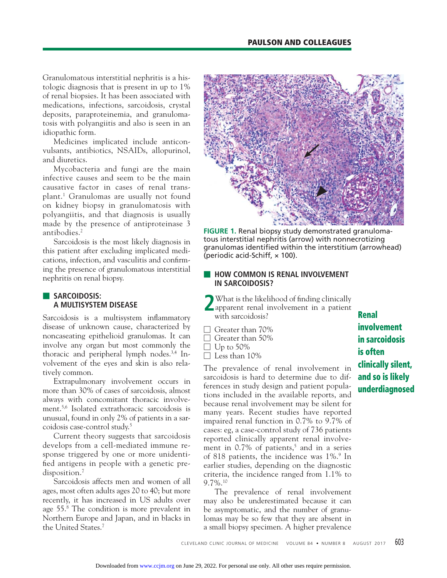Granulomatous interstitial nephritis is a histologic diagnosis that is present in up to 1% of renal biopsies. It has been associated with medications, infections, sarcoidosis, crystal deposits, paraproteinemia, and granulomatosis with polyangiitis and also is seen in an idiopathic form.

 Medicines implicated include anticonvulsants, antibiotics, NSAIDs, allopurinol, and diuretics.

 Mycobacteria and fungi are the main infective causes and seem to be the main causative factor in cases of renal transplant.1 Granulomas are usually not found on kidney biopsy in granulomatosis with polyangiitis, and that diagnosis is usually made by the presence of antiproteinase 3 antibodies.2

 Sarcoidosis is the most likely diagnosis in this patient after excluding implicated medications, infection, and vasculitis and confirming the presence of granulomatous interstitial nephritis on renal biopsy.

## ■ **SARCOIDOSIS: A MULTISYSTEM DISEASE**

Sarcoidosis is a multisystem inflammatory disease of unknown cause, characterized by noncaseating epithelioid granulomas. It can involve any organ but most commonly the thoracic and peripheral lymph nodes.3,4 Involvement of the eyes and skin is also relatively common.

 Extrapulmonary involvement occurs in more than 30% of cases of sarcoidosis, almost always with concomitant thoracic involvement.5,6 Isolated extrathoracic sarcoidosis is unusual, found in only 2% of patients in a sarcoidosis case-control study.5

 Current theory suggests that sarcoidosis develops from a cell-mediated immune response triggered by one or more unidentified antigens in people with a genetic predisposition.<sup>7</sup>

 Sarcoidosis affects men and women of all ages, most often adults ages 20 to 40; but more recently, it has increased in US adults over age 55.8 The condition is more prevalent in Northern Europe and Japan, and in blacks in the United States.7



**FIGURE 1.** Renal biopsy study demonstrated granulomatous interstitial nephritis (arrow) with nonnecrotizing granulomas identified within the interstitium (arrowhead) (periodic acid-Schiff,  $\times$  100).

## **E HOW COMMON IS RENAL INVOLVEMENT IN SARCOIDOSIS?**

- **2**What is the likelihood of finding clinically apparent renal involvement in a patient with sarcoidosis?
- □ Greater than 70%
- $\Box$  Greater than 50%
- $\Box$  Up to 50%

 $\Box$  Less than 10%

The prevalence of renal involvement in sarcoidosis is hard to determine due to differences in study design and patient populations included in the available reports, and because renal involvement may be silent for many years. Recent studies have reported impaired renal function in 0.7% to 9.7% of cases: eg, a case-control study of 736 patients reported clinically apparent renal involvement in  $0.7\%$  of patients,<sup>5</sup> and in a series of 818 patients, the incidence was 1%.9 In earlier studies, depending on the diagnostic criteria, the incidence ranged from 1.1% to 9.7%.10

 The prevalence of renal involvement may also be underestimated because it can be asymptomatic, and the number of granulomas may be so few that they are absent in a small biopsy specimen. A higher prevalence

**Renal involvement in sarcoidosis is often clinically silent, and so is likely underdiagnosed**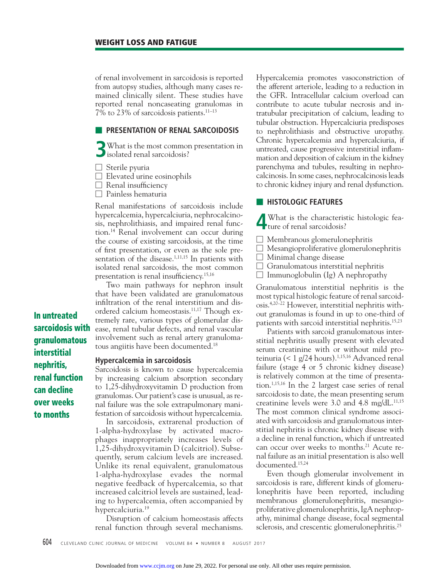of renal involvement in sarcoidosis is reported from autopsy studies, although many cases remained clinically silent. These studies have reported renal noncaseating granulomas in 7% to 23% of sarcoidosis patients.11–13

### **EXPRESENTATION OF RENAL SARCOIDOSIS**

**3**What is the most common presentation in isolated renal sarcoidosis?

 $\Box$  Sterile pyuria

**In untreated sarcoidosis with granulomatous interstitial nephritis,** 

**renal function can decline over weeks to months**

- $\Box$  Elevated urine eosinophils
- $\Box$  Renal insufficiency
- □ Painless hematuria

Renal manifestations of sarcoidosis include hypercalcemia, hypercalciuria, nephrocalcinosis, nephrolithiasis, and impaired renal function.14 Renal involvement can occur during the course of existing sarcoidosis, at the time of first presentation, or even as the sole presentation of the disease.<sup>1,11,15</sup> In patients with isolated renal sarcoidosis, the most common presentation is renal insufficiency.<sup>15,16</sup>

 Two main pathways for nephron insult that have been validated are granulomatous infiltration of the renal interstitium and disordered calcium homeostasis.11,17 Though extremely rare, various types of glomerular disease, renal tubular defects, and renal vascular involvement such as renal artery granulomatous angiitis have been documented.18

#### **Hypercalcemia in sarcoidosis**

Sarcoidosis is known to cause hypercalcemia by increasing calcium absorption secondary to 1,25-dihydroxyvitamin D production from granulomas. Our patient's case is unusual, as renal failure was the sole extrapulmonary manifestation of sarcoidosis without hypercalcemia.

 In sarcoidosis, extrarenal production of 1-alpha-hydroxylase by activated macrophages inappropriately increases levels of 1,25-dihydroxyvitamin D (calcitriol). Subsequently, serum calcium levels are increased. Unlike its renal equivalent, granulomatous 1-alpha-hydroxylase evades the normal negative feedback of hypercalcemia, so that increased calcitriol levels are sustained, leading to hypercalcemia, often accompanied by hypercalciuria.19

 Disruption of calcium homeostasis affects renal function through several mechanisms.

Hypercalcemia promotes vasoconstriction of the afferent arteriole, leading to a reduction in the GFR. Intracellular calcium overload can contribute to acute tubular necrosis and intratubular precipitation of calcium, leading to tubular obstruction. Hypercalciuria predisposes to nephrolithiasis and obstructive uropathy. Chronic hypercalcemia and hypercalciuria, if untreated, cause progressive interstitial inflammation and deposition of calcium in the kidney parenchyma and tubules, resulting in nephrocalcinosis. In some cases, nephrocalcinosis leads to chronic kidney injury and renal dysfunction.

#### ■ **HISTOLOGIC FEATURES**

**4** What is the characteristic histologic fea-ture of renal sarcoidosis?

- $\Box$  Membranous glomerulonephritis
- □ Mesangioproliferative glomerulonephritis
- □ Minimal change disease
- $\Box$  Granulomatous interstitial nephritis
- $\Box$  Immunoglobulin (Ig) A nephropathy

Granulomatous interstitial nephritis is the most typical histologic feature of renal sarcoidosis.4,20–22 However, interstitial nephritis without granulomas is found in up to one-third of patients with sarcoid interstitial nephritis.15,23

 Patients with sarcoid granulomatous interstitial nephritis usually present with elevated serum creatinine with or without mild proteinuria (< 1 g/24 hours).<sup>1,15,16</sup> Advanced renal failure (stage 4 or 5 chronic kidney disease) is relatively common at the time of presentation.1,15,16 In the 2 largest case series of renal sarcoidosis to date, the mean presenting serum creatinine levels were 3.0 and 4.8 mg/dL.<sup>11,15</sup> The most common clinical syndrome associated with sarcoidosis and granulomatous interstitial nephritis is chronic kidney disease with a decline in renal function, which if untreated can occur over weeks to months.<sup>21</sup> Acute renal failure as an initial presentation is also well documented.15,24

 Even though glomerular involvement in sarcoidosis is rare, different kinds of glomerulonephritis have been reported, including membranous glomerulonephritis, mesangioproliferative glomerulonephritis, IgA nephropathy, minimal change disease, focal segmental sclerosis, and crescentic glomerulonephritis.<sup>25</sup>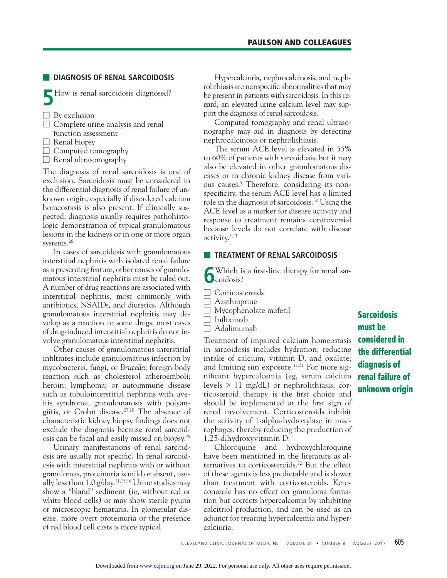# ■ **DIAGNOSIS OF RENAL SARCOIDOSIS**

**5**How is renal sarcoidosis diagnosed?

- $\Box$  By exclusion
- $\Box$  Complete urine analysis and renal
- function assessment
- $\Box$  Renal biopsy

 $\Box$  Computed tomography

 $\Box$  Renal ultrasonography

The diagnosis of renal sarcoidosis is one of exclusion. Sarcoidosis must be considered in the differential diagnosis of renal failure of unknown origin, especially if disordered calcium homeostasis is also present. If clinically suspected, diagnosis usually requires pathohistologic demonstration of typical granulomatous lesions in the kidneys or in one or more organ systems.26

 In cases of sarcoidosis with granulomatous interstitial nephritis with isolated renal failure as a presenting feature, other causes of granulomatous interstitial nephritis must be ruled out. A number of drug reactions are associated with interstitial nephritis, most commonly with antibiotics, NSAIDs, and diuretics. Although granulomatous interstitial nephritis may develop as a reaction to some drugs, most cases of drug-induced interstitial nephritis do not involve granulomatous interstitial nephritis.

 Other causes of granulomatous interstitial infiltrates include granulomatous infection by mycobacteria, fungi, or *Brucella*; foreign-body reaction such as cholesterol atheroemboli; heroin; lymphoma; or autoimmune disease such as tubulointerstitial nephritis with uveitis syndrome, granulomatosis with polyangiitis, or Crohn disease.27,28 The absence of characteristic kidney biopsy findings does not exclude the diagnosis because renal sarcoidosis can be focal and easily missed on biopsy.29

 Urinary manifestations of renal sarcoidosis are usually not specific. In renal sarcoidosis with interstitial nephritis with or without granulomas, proteinuria is mild or absent, usually less than  $1.0$  g/day.<sup>11,15,16</sup> Urine studies may show a "bland" sediment (ie, without red or white blood cells) or may show sterile pyuria or microscopic hematuria. In glomerular disease, more overt proteinuria or the presence of red blood cell casts is more typical.

 Hypercalciuria, nephrocalcinosis, and nephrolithiasis are nonspecific abnormalities that may be present in patients with sarcoidosis. In this regard, an elevated urine calcium level may support the diagnosis of renal sarcoidosis.

 Computed tomography and renal ultrasonography may aid in diagnosis by detecting nephrocalcinosis or nephrolithiasis.

 The serum ACE level is elevated in 55% to 60% of patients with sarcoidosis, but it may also be elevated in other granulomatous diseases or in chronic kidney disease from various causes.5 Therefore, considering its nonspecificity, the serum ACE level has a limited role in the diagnosis of sarcoidosis.30 Using the ACE level as a marker for disease activity and response to treatment remains controversial because levels do not correlate with disease activity.5,11

## **EXTENT OF RENAL SARCOIDOSIS**

Which is a first-line therapy for renal sar- $\int_{\text{codosis}}^{\text{W}}$ 

- □ Corticosteroids
- $\Box$  Azathioprine
- □ Mycophenolate mofetil
- $\Box$  Infliximab
- $\Box$  Adalimumab

Treatment of impaired calcium homeostasis in sarcoidosis includes hydration; reducing intake of calcium, vitamin D, and oxalate; and limiting sun exposure.<sup>11,31</sup> For more significant hypercalcemia (eg, serum calcium levels > 11 mg/dL) or nephrolithiasis, corticosteroid therapy is the first choice and should be implemented at the first sign of renal involvement. Corticosteroids inhibit the activity of 1-alpha-hydroxylase in macrophages, thereby reducing the production of 1,25-dihydroxyvitamin D.

 Chloroquine and hydroxychloroquine have been mentioned in the literature as alternatives to corticosteroids.32 But the effect of these agents is less predictable and is slower than treatment with corticosteroids. Ketoconazole has no effect on granuloma formation but corrects hypercalcemia by inhibiting calcitriol production, and can be used as an adjunct for treating hypercalcemia and hypercalciuria.

**Sarcoidosis must be considered in the differential diagnosis of renal failure of unknown origin**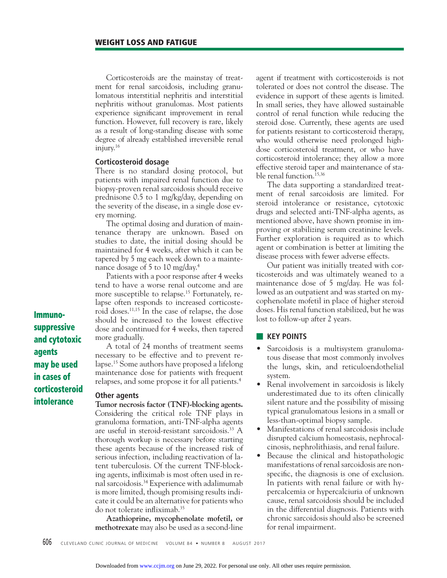Corticosteroids are the mainstay of treatment for renal sarcoidosis, including granulomatous interstitial nephritis and interstitial nephritis without granulomas. Most patients experience significant improvement in renal function. However, full recovery is rare, likely as a result of long-standing disease with some degree of already established irreversible renal injury.16

## **Corticosteroid dosage**

There is no standard dosing protocol, but patients with impaired renal function due to biopsy-proven renal sarcoidosis should receive prednisone 0.5 to 1 mg/kg/day, depending on the severity of the disease, in a single dose every morning.

 The optimal dosing and duration of maintenance therapy are unknown. Based on studies to date, the initial dosing should be maintained for 4 weeks, after which it can be tapered by 5 mg each week down to a maintenance dosage of 5 to 10 mg/day.4

 Patients with a poor response after 4 weeks tend to have a worse renal outcome and are more susceptible to relapse.<sup>15</sup> Fortunately, relapse often responds to increased corticosteroid doses.11,15 In the case of relapse, the dose should be increased to the lowest effective dose and continued for 4 weeks, then tapered more gradually.

 A total of 24 months of treatment seems necessary to be effective and to prevent relapse.15 Some authors have proposed a lifelong maintenance dose for patients with frequent relapses, and some propose it for all patients.4

#### **Other agents**

**Tumor necrosis factor (TNF)-blocking agents.**  Considering the critical role TNF plays in granuloma formation, anti-TNF-alpha agents are useful in steroid-resistant sarcoidosis.<sup>33</sup> A thorough workup is necessary before starting these agents because of the increased risk of serious infection, including reactivation of latent tuberculosis. Of the current TNF-blocking agents, infliximab is most often used in renal sarcoidosis.<sup>34</sup> Experience with adalimumab is more limited, though promising results indicate it could be an alternative for patients who do not tolerate infliximab.<sup>35</sup>

**Azathioprine, mycophenolate mofetil, or methotrexate** may also be used as a second-line

agent if treatment with corticosteroids is not tolerated or does not control the disease. The evidence in support of these agents is limited. In small series, they have allowed sustainable control of renal function while reducing the steroid dose. Currently, these agents are used for patients resistant to corticosteroid therapy, who would otherwise need prolonged highdose corticosteroid treatment, or who have corticosteroid intolerance; they allow a more effective steroid taper and maintenance of stable renal function.<sup>15,36</sup>

 The data supporting a standardized treatment of renal sarcoidosis are limited. For steroid intolerance or resistance, cytotoxic drugs and selected anti-TNF-alpha agents, as mentioned above, have shown promise in improving or stabilizing serum creatinine levels. Further exploration is required as to which agent or combination is better at limiting the disease process with fewer adverse effects.

 Our patient was initially treated with corticosteroids and was ultimately weaned to a maintenance dose of 5 mg/day. He was followed as an outpatient and was started on mycophenolate mofetil in place of higher steroid doses. His renal function stabilized, but he was lost to follow-up after 2 years.

## ■ **KEY POINTS**

- Sarcoidosis is a multisystem granulomatous disease that most commonly involves the lungs, skin, and reticuloendothelial system.
- Renal involvement in sarcoidosis is likely underestimated due to its often clinically silent nature and the possibility of missing typical granulomatous lesions in a small or less-than-optimal biopsy sample.
- Manifestations of renal sarcoidosis include disrupted calcium homeostasis, nephrocalcinosis, nephrolithiasis, and renal failure.
- Because the clinical and histopathologic manifestations of renal sarcoidosis are nonspecific, the diagnosis is one of exclusion. In patients with renal failure or with hypercalcemia or hypercalciuria of unknown cause, renal sarcoidosis should be included in the differential diagnosis. Patients with chronic sarcoidosis should also be screened for renal impairment.

**Immuno-**